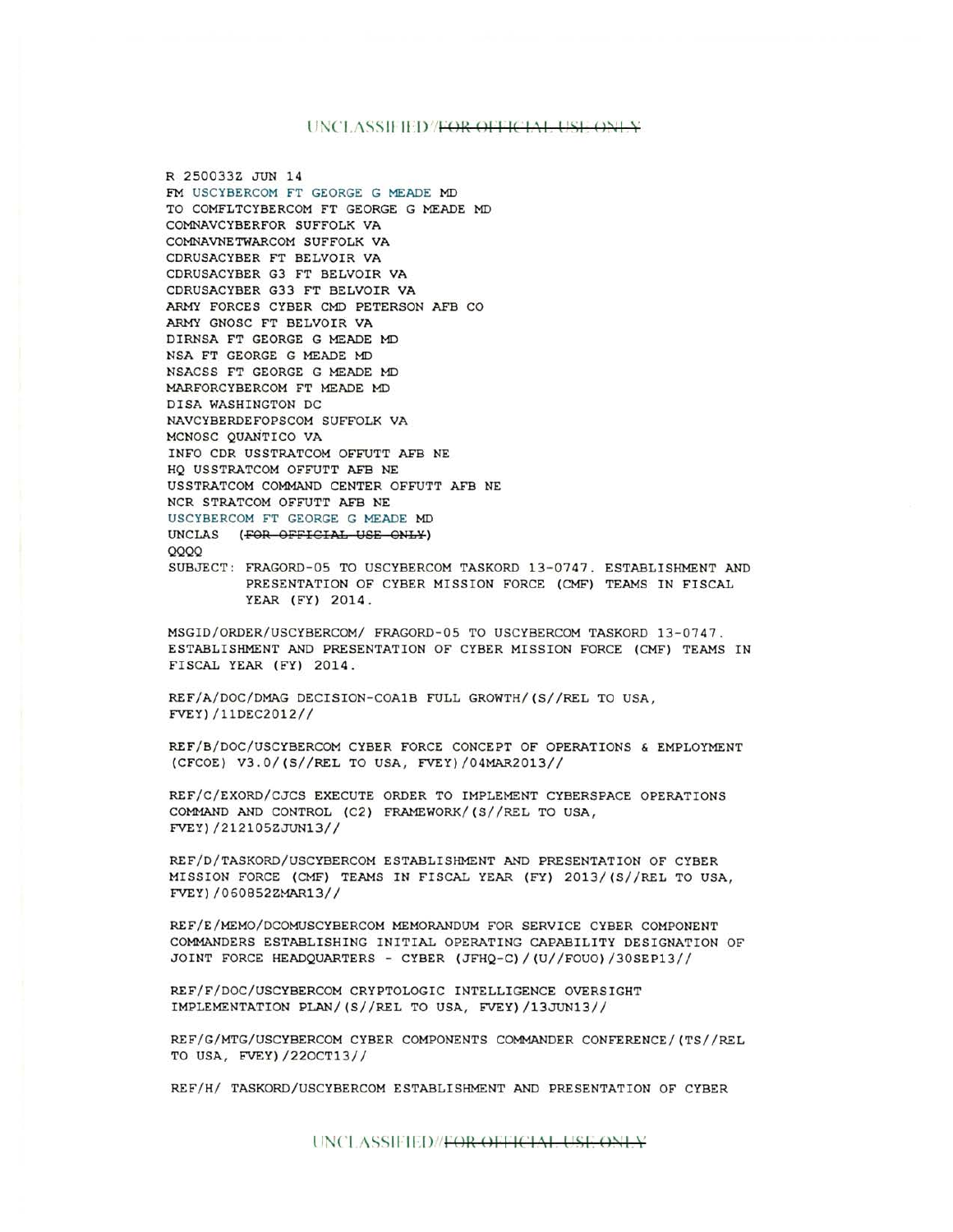## UNCLASSIFIED *FOR OFFICIAL USE ONLY*

R 250033Z JUN 14 FM USCYBERCOM FT GEORGE G MEADE MD TO COMFLTCYBERCOM FT GEORGE G MEADE MD COMNAVCYBERFOR SUFFOLK VA COMNAVNETWARCOM SUFFOLK VA CDRUSACYBER FT BELVOIR VA CDRUSACYBER G3 FT BELVOIR VA CDRUSACYBER G33 FT BELVOIR VA ARMY FORCES CYBER CMD PETERSON AFB CO ARMY GNOSC FT BELVOIR VA DIRNSA FT GEORGE G MEADE MD NSA FT GEORGE G MEADE MD NSACSS FT GEORGE G MEADE MD MARFORCYBERCOM FT MEADE MD DISA WASHINGTON DC NAVCYBERDEFOPSCOM SUFFOLK VA MCNOSC QUANTICO VA INFO CDR USSTRATCOM OFFUTT AFB NE HQ USSTRATCOM OFFUTT AFB NE USSTRATCOM COMMAND CENTER OFFUTT AFB NE NCR STRATCOM OFFUTT AFB NE USCYBERCOM FT GEORGE G MEADE MD UNCLAS {FOR OFFICIAL USE OHLY) QQQQ SUBJECT: FRAGORD-05 TO USCYBERCOM TASKORD 13-0747. ESTABLISHMENT AND PRESENTATION OF CYBER MISSION FORCE {CMF) TEAMS IN FISCAL

MSGID/ORDER/USCYBERCOM/ FRAGORD-05 TO USCYBERCOM TASKORD 13-0747. ESTABLISHMENT AND PRESENTATION OF CYBER MISSION FORCE {CMF) TEAMS IN FISCAL YEAR {FY) 2014.

REF/A/DOC/DMAG DECISION-COAlB FULL GROWTH/{S//REL TO USA, FVEY)/11DEC2012//

YEAR {FY) 2014.

REF/B/DOC/USCYBERCOM CYBER FORCE CONCEPT OF OPERATIONS & EMPLOYMENT {CFCOE) V3.0/{S//REL TO USA , FVEY)/04MAR2013//

REF/C/EXORD/CJCS EXECUTE ORDER TO IMPLEMENT CYBERSPACE OPERATIONS COMMAND AND CONTROL {C2) FRAMEWORK/{S//REL TO USA, FVEY)/212105ZJUN13//

REF/D/TASKORD/USCYBERCOM ESTABLISHMENT AND PRESENTATION OF CYBER MISSION FORCE {CMF) TEAMS IN FISCAL YEAR {FY) 2013/(S//REL TO USA, FVEY)/060852ZMAR13//

REF/E/MEMO/DCOMUSCYBERCOM MEMORANDUM FOR SERVICE CYBER COMPONENT COMMANDERS ESTABLISHING INITIAL OPERATING CAPABILITY DESIGNATION OF JOINT FORCE HEADQUARTERS - CYBER {JFHQ- C)/{U//FOU0)/30SEP13//

REF/F/DOC/USCYBERCOM CRYPTOLOGIC INTELLIGENCE OVERSIGHT IMPLEMENTATION PLAN/{S//REL TO USA , FVEY)/13JUN13//

REF/G/MTG/USCYBERCOM CYBER COMPONENTS COMMANDER CONFERENCE/{TS//REL TO USA, FVEY) /220CT13//

REF/H/ TASKORD/USCYBERCOM ESTABLISHMENT AND PRESENTATION OF CYBER

UNCLASSIFIED//<del>FOR OFFICIAL USE ONLY</del>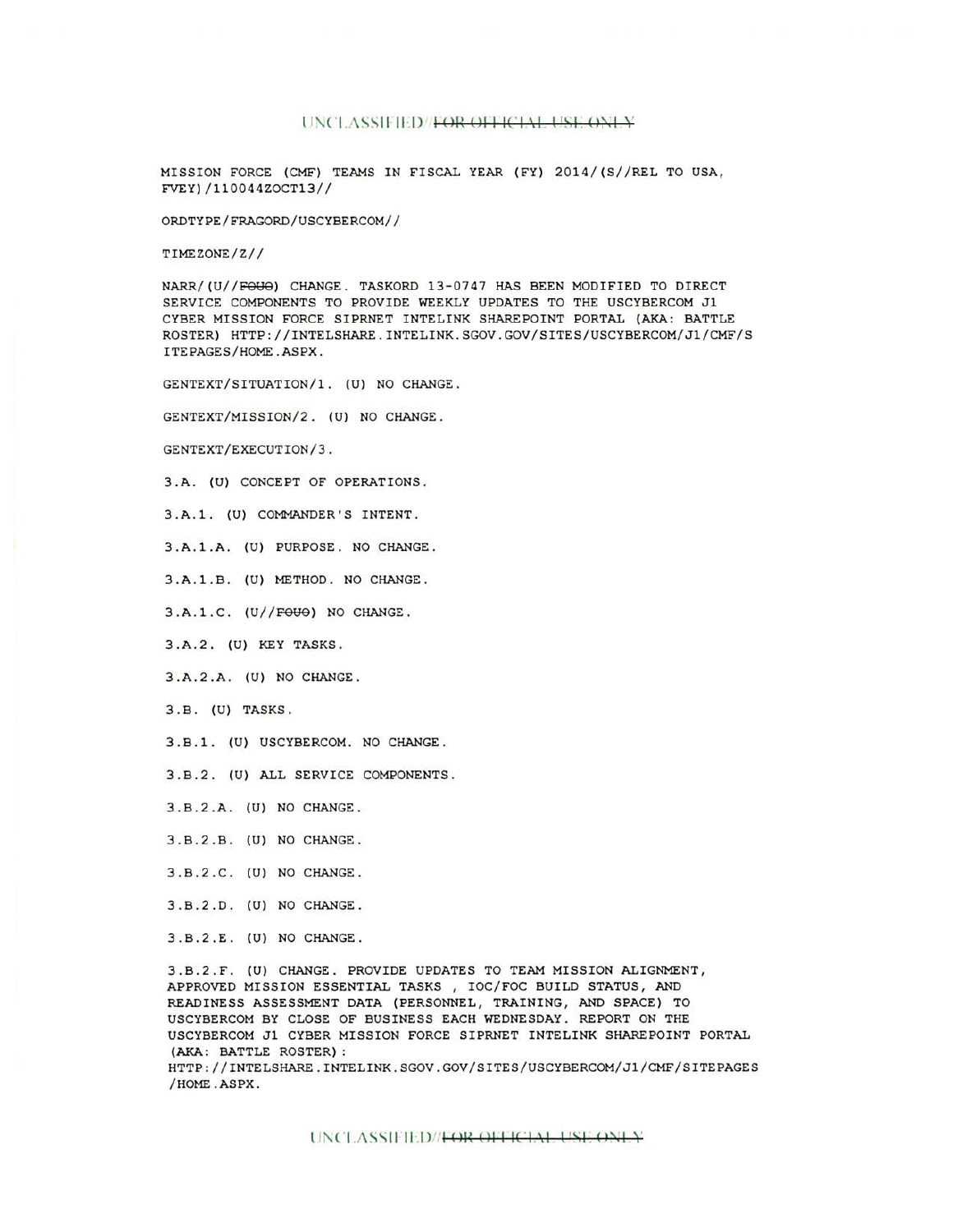## UNCLASSIFIED/FOR OFFICIAL USE ONLY

MISSION FORCE (CMF) TEAMS IN FISCAL YEAR (FY) 2014 / (S//REL TO USA, FVEY)/110044ZOCT13//

ORDTYPE/FRAGORD/USCYBERCOM//

TIMEZONE/Z//

NARR/(U//FOUO) CHANGE. TASKORD 13-0747 HAS BEEN MODIFIED TO DIRECT SERVICE COMPONENTS TO PROVIDE WEEKLY UPDATES TO THE USCYBERCOM Jl CYBER MISSION FORCE SIPRNET INTELINK SHAREPOINT PORTAL (AKA: BATTLE ROSTER) HTTP://INTELSHARE.INTELINK.SGOV.GOV/SITES/USCYBERCOM/Jl/CMF/S ITEPAGES/HOME.ASPX.

GENTEXT/SITUATION/1. (U) NO CHANGE.

GENTEXT/MISSION/2. (U) NO CHANGE.

GENTEXT/EXECUTION/3.

3.A. (U) CONCEPT OF OPERATIONS.

3.A.1. (U) COMMANDER'S INTENT.

3.A.1.A. (U) PURPOSE. NO CHANGE.

3.A.l.B. (U) METHOD. NO CHANGE.

 $3.A.1.C. (U//F<sub>OU</sub>)$  NO CHANGE.

3.A.2. (U) KEY TASKS.

3.A.2.A. (U) NO CHANGE.

3.B. (U) TASKS.

3.B.1. (U) USCYBERCOM. NO CHANGE.

3.B.2. (U) ALL SERVICE COMPONENTS.

3.B.2.A. (U) NO CHANGE .

3.B.2.B. (U) NO CHANGE.

3.B.2.C. (U) NO CHANGE.

3.B.2.D. (U) NO CHANGE.

3.B.2.E. (U) NO CHANGE.

3.B.2.F. (U) CHANGE. PROVIDE UPDATES TO TEAM MISSION ALIGNMENT, APPROVED MISSION ESSENTIAL TASKS , IOC/FOC BUILD STATUS, AND READINESS ASSESSMENT DATA (PERSONNEL, TRAINING, AND SPACE) TO USCYBERCOM BY CLOSE OF BUSINESS EACH WEDNESDAY. REPORT ON THE USCYBERCOM Jl CYBER MISSION FORCE SIPRNET INTELINK SHAREPOINT PORTAL (AKA: BATTLE ROSTER): HTTP://INTELSHARE.INTELINK .SGOV.GOV/SITES/USCYBERCOM/Jl/CMF/SITEPAGES /HOME .ASPX .

UNCLASSIFIED//<del>FOR OFFICIAL USE ONLY</del>